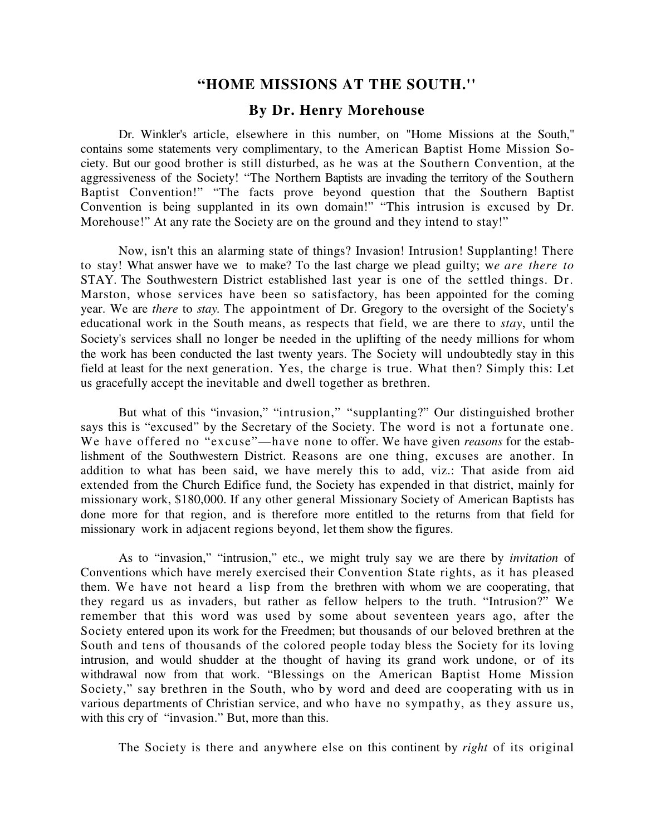## **"HOME MISSIONS AT THE SOUTH.''**

## **By Dr. Henry Morehouse**

Dr. Winkler's article, elsewhere in this number, on "Home Missions at the South," contains some statements very complimentary, to the American Baptist Home Mission Society. But our good brother is still disturbed, as he was at the Southern Convention, at the aggressiveness of the Society! "The Northern Baptists are invading the territory of the Southern Baptist Convention!" "The facts prove beyond question that the Southern Baptist Convention is being supplanted in its own domain!" "This intrusion is excused by Dr. Morehouse!" At any rate the Society are on the ground and they intend to stay!"

Now, isn't this an alarming state of things? Invasion! Intrusion! Supplanting! There to stay! What answer have we to make? To the last charge we plead guilty; w*e are there to* STAY. The Southwestern District established last year is one of the settled things. Dr. Marston, whose services have been so satisfactory, has been appointed for the coming year. We are *there* to *stay.* The appointment of Dr. Gregory to the oversight of the Society's educational work in the South means, as respects that field, we are there to *stay*, until the Society's services shall no longer be needed in the uplifting of the needy millions for whom the work has been conducted the last twenty years. The Society will undoubtedly stay in this field at least for the next generation. Yes, the charge is true. What then? Simply this: Let us gracefully accept the inevitable and dwell together as brethren.

But what of this "invasion," "intrusion," "supplanting?" Our distinguished brother says this is "excused" by the Secretary of the Society. The word is not a fortunate one. We have offered no "excuse"—have none to offer. We have given *reasons* for the establishment of the Southwestern District. Reasons are one thing, excuses are another. In addition to what has been said, we have merely this to add, viz.: That aside from aid extended from the Church Edifice fund, the Society has expended in that district, mainly for missionary work, \$180,000. If any other general Missionary Society of American Baptists has done more for that region, and is therefore more entitled to the returns from that field for missionary work in adjacent regions beyond, let them show the figures.

As to "invasion," "intrusion," etc., we might truly say we are there by *invitation* of Conventions which have merely exercised their Convention State rights, as it has pleased them. We have not heard a lisp from the brethren with whom we are cooperating, that they regard us as invaders, but rather as fellow helpers to the truth. "Intrusion?" We remember that this word was used by some about seventeen years ago, after the Society entered upon its work for the Freedmen; but thousands of our beloved brethren at the South and tens of thousands of the colored people today bless the Society for its loving intrusion, and would shudder at the thought of having its grand work undone, or of its withdrawal now from that work. "Blessings on the American Baptist Home Mission Society," say brethren in the South, who by word and deed are cooperating with us in various departments of Christian service, and who have no sympathy, as they assure us, with this cry of "invasion." But, more than this.

The Society is there and anywhere else on this continent by *right* of its original